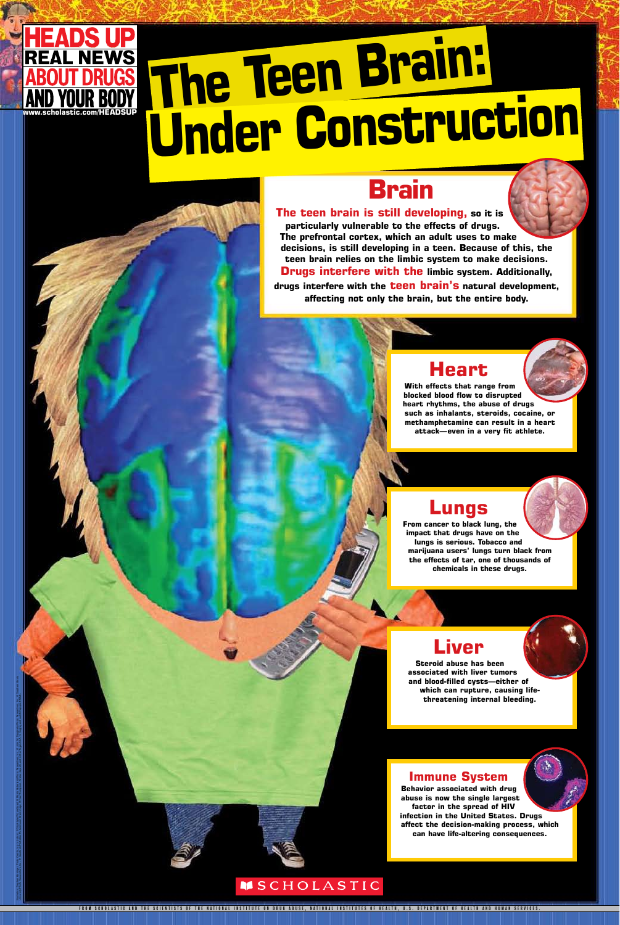# EADS U The Teen Brain: **Under Construction**

# **Brain**

The teen brain is still developing, so it is particularly vulnerable to the effects of drugs. The prefrontal cortex, which an adult uses to make decisions, is still developing in a teen. Because of this, the teen brain relies on the limbic system to make decisions. **Drugs interfere with the limbic system. Additionally,** drugs interfere with the teen brain's natural development, affecting not only the brain, but the entire body.

# Heart

With effects that range from blocked blood flow to disrupted heart rhythms, the abuse of drugs such as inhalants, steroids, cocaine, or methamphetamine can result in a heart attack-even in a very fit athlete.

# Lungs

From cancer to black lung, the impact that drugs have on the lungs is serious. Tobacco and marijuana users' lungs turn black from the effects of tar, one of thousands of chemicals in these drugs.

# Liver

Steroid abuse has been associated with liver tumors and blood-filled cysts-either of which can rupture, causing lifethreatening internal bleeding.

# **Immune System**

**Behavior associated with drug** abuse is now the single largest factor in the spread of HIV infection in the United States. Drugs affect the decision-making process, which can have life-altering consequences.

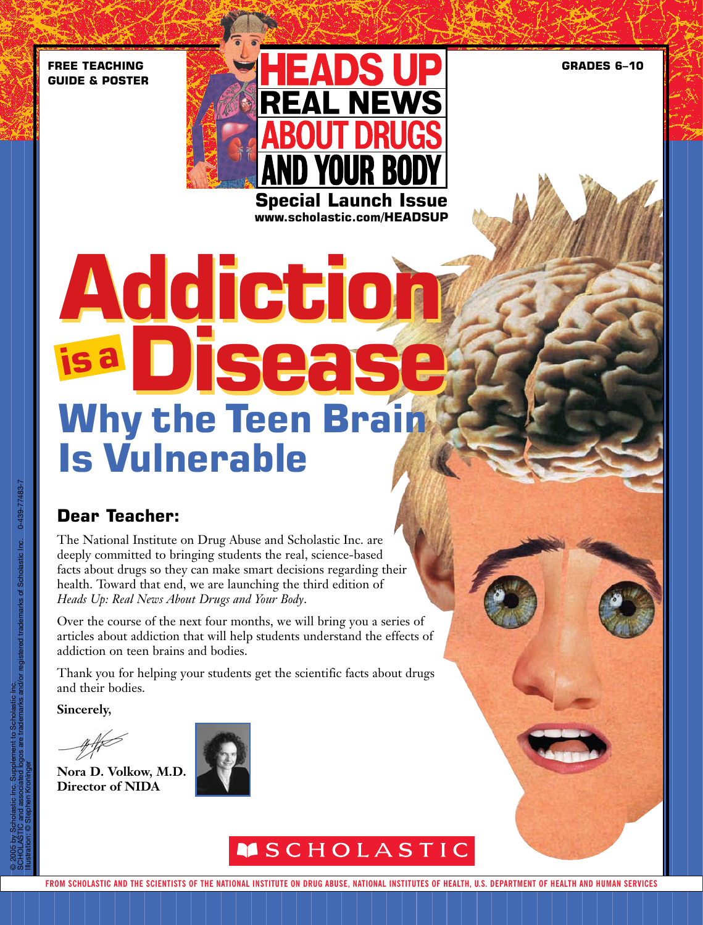**GRADES 6–10**

**FREE TEACHING GUIDE & POSTER**



**www.scholastic.com/HEADSUP**

# **Addiction Addiction Disease Disease Why the Teen Brain Is Vulnerable** ABOUT DRUGS� **is a**

# **Dear Teacher:**

The National Institute on Drug Abuse and Scholastic Inc. are deeply committed to bringing students the real, science-based facts about drugs so they can make smart decisions regarding their health. Toward that end, we are launching the third edition of *Heads Up: Real News About Drugs and Your Body*. AND YOUR BODY

Over the course of the next four months, we will bring you a series of articles about addiction that will help students understand the effects of addiction on teen brains and bodies.

Thank you for helping your students get the scientific facts about drugs and their bodies.

**Sincerely,**

**Nora D. Volkow, M.D. Director of NIDA**



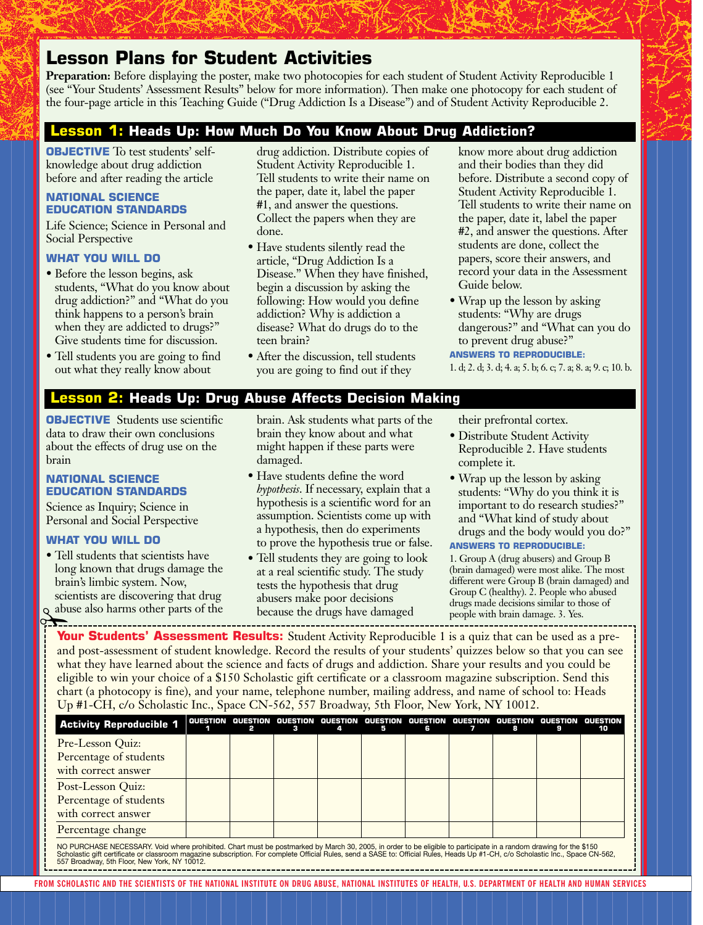# **Lesson Plans for Student Activities**

**Preparation:** Before displaying the poster, make two photocopies for each student of Student Activity Reproducible 1 (see "Your Students' Assessment Results" below for more information). Then make one photocopy for each student of the four-page article in this Teaching Guide ("Drug Addiction Is a Disease") and of Student Activity Reproducible 2.

#### **1: Heads Up: How Much Do You Know About Drug Addiction?**

**OBJECTIVE** To test students' selfknowledge about drug addiction before and after reading the article

#### **NATIONAL SCIENCE EDUCATION STANDARDS**

Life Science; Science in Personal and Social Perspective

#### **WHAT YOU WILL DO**

- Before the lesson begins, ask students, "What do you know about drug addiction?" and "What do you think happens to a person's brain when they are addicted to drugs?" Give students time for discussion.
- Tell students you are going to find out what they really know about

drug addiction. Distribute copies of Student Activity Reproducible 1. Tell students to write their name on the paper, date it, label the paper #1, and answer the questions. Collect the papers when they are done.

- Have students silently read the article, "Drug Addiction Is a Disease." When they have finished, begin a discussion by asking the following: How would you define addiction? Why is addiction a disease? What do drugs do to the teen brain?
- After the discussion, tell students you are going to find out if they

know more about drug addiction and their bodies than they did before. Distribute a second copy of Student Activity Reproducible 1. Tell students to write their name on the paper, date it, label the paper #2, and answer the questions. After students are done, collect the papers, score their answers, and record your data in the Assessment Guide below.

• Wrap up the lesson by asking students: "Why are drugs dangerous?" and "What can you do to prevent drug abuse?"

**ANSWERS TO REPRODUCIBLE:** 

1. d; 2. d; 3. d; 4. a; 5. b; 6. c; 7. a; 8. a; 9. c; 10. b.

#### **Lesson 2: Heads Up: Drug Abuse Affects Decision Making**

**OBJECTIVE** Students use scientific data to draw their own conclusions about the effects of drug use on the brain

#### **NATIONAL SCIENCE EDUCATION STANDARDS**

Science as Inquiry; Science in Personal and Social Perspective

#### **WHAT YOU WILL DO**

- Tell students that scientists have long known that drugs damage the brain's limbic system. Now, scientists are discovering that drug
- abuse also harms other parts of the

brain. Ask students what parts of the brain they know about and what might happen if these parts were damaged.

- Have students define the word *hypothesis*. If necessary, explain that a hypothesis is a scientific word for an assumption. Scientists come up with a hypothesis, then do experiments to prove the hypothesis true or false.
- Tell students they are going to look at a real scientific study. The study tests the hypothesis that drug abusers make poor decisions because the drugs have damaged

their prefrontal cortex.

- Distribute Student Activity Reproducible 2. Have students complete it.
- Wrap up the lesson by asking students: "Why do you think it is important to do research studies?" and "What kind of study about drugs and the body would you do?" **ANSWERS TO REPRODUCIBLE:**

1. Group A (drug abusers) and Group B (brain damaged) were most alike. The most different were Group B (brain damaged) and Group C (healthy). 2. People who abused drugs made decisions similar to those of people with brain damage. 3. Yes.

**Your Students' Assessment Results:** Student Activity Reproducible 1 is a quiz that can be used as a preand post-assessment of student knowledge. Record the results of your students' quizzes below so that you can see what they have learned about the science and facts of drugs and addiction. Share your results and you could be eligible to win your choice of a \$150 Scholastic gift certificate or a classroom magazine subscription. Send this chart (a photocopy is fine), and your name, telephone number, mailing address, and name of school to: Heads Up #1-CH, c/o Scholastic Inc., Space CN-562, 557 Broadway, 5th Floor, New York, NY 10012.

| <b>Activity Reproducible 1</b>                                                                                                                                     | QUESTION |  | з | 4 | 5 | QUESTION QUESTION QUESTION QUESTION QUESTION<br>6 |  |  | QUESTION | QUESTION<br>10 |
|--------------------------------------------------------------------------------------------------------------------------------------------------------------------|----------|--|---|---|---|---------------------------------------------------|--|--|----------|----------------|
| Pre-Lesson Quiz:                                                                                                                                                   |          |  |   |   |   |                                                   |  |  |          |                |
| Percentage of students                                                                                                                                             |          |  |   |   |   |                                                   |  |  |          |                |
| with correct answer                                                                                                                                                |          |  |   |   |   |                                                   |  |  |          |                |
| Post-Lesson Ouiz:                                                                                                                                                  |          |  |   |   |   |                                                   |  |  |          |                |
| Percentage of students                                                                                                                                             |          |  |   |   |   |                                                   |  |  |          |                |
| with correct answer                                                                                                                                                |          |  |   |   |   |                                                   |  |  |          |                |
| Percentage change                                                                                                                                                  |          |  |   |   |   |                                                   |  |  |          |                |
| NO PURCHASE NECESSARY. Void where prohibited. Chart must be postmarked by March 30, 2005, in order to be eligible to participate in a random drawing for the \$150 |          |  |   |   |   |                                                   |  |  |          |                |

NO PURCHASE NECESSARY. Void where prohibited. Chart must be postmarked by March 30, 2005, in order to be eligible to participate in a random drawing for the \$150<br>Scholastic gift certificate or classroom magazine subscript Scholastic gift certificate or classroom magazin<br>557 Broadway, 5th Floor, New York, NY 10012.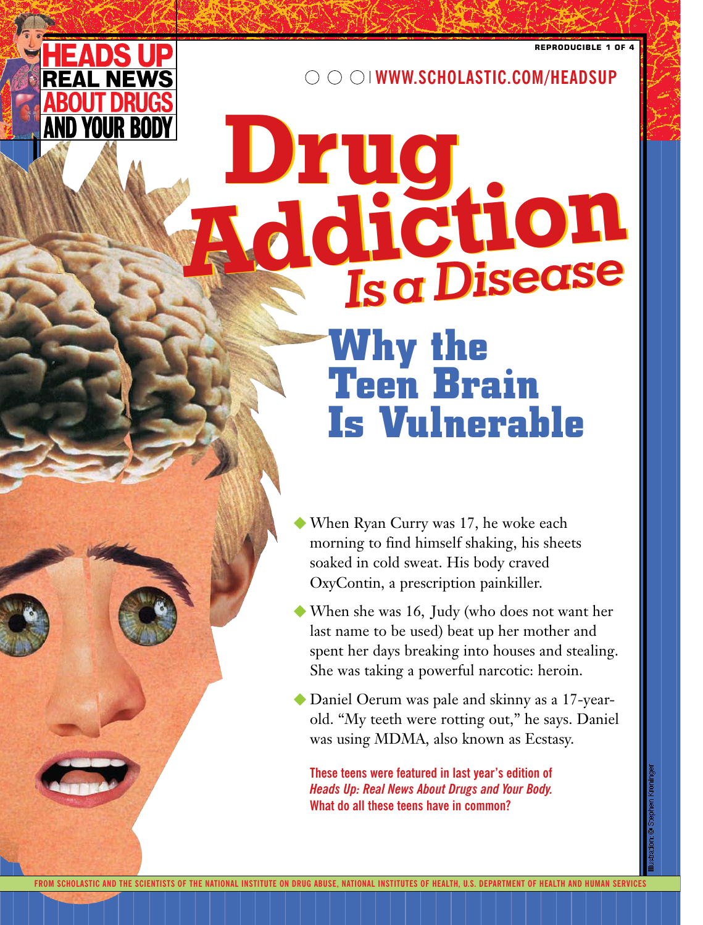

AND YOUR BODY

**Real Property** HEADS UP HEADS UP

**ABOUT DRUGS** 

**WWW.SCHOLASTIC.COM/HEADSUP**

# **Why the Teen Brain Is Vulnerable Addiction Addiction** *Isa Disease* **Drug**

- When Ryan Curry was 17, he woke each morning to find himself shaking, his sheets soaked in cold sweat. His body craved OxyContin, a prescription painkiller.
- � When she was 16, Judy (who does not want her last name to be used) beat up her mother and spent her days breaking into houses and stealing. She was taking a powerful narcotic: heroin.
- � Daniel Oerum was pale and skinny as a 17-yearold. "My teeth were rotting out," he says. Daniel was using MDMA, also known as Ecstasy.

**These teens were featured in last year's edition of**  *Heads Up: Real News About Drugs and Your Body.* **What do all these teens have in common?**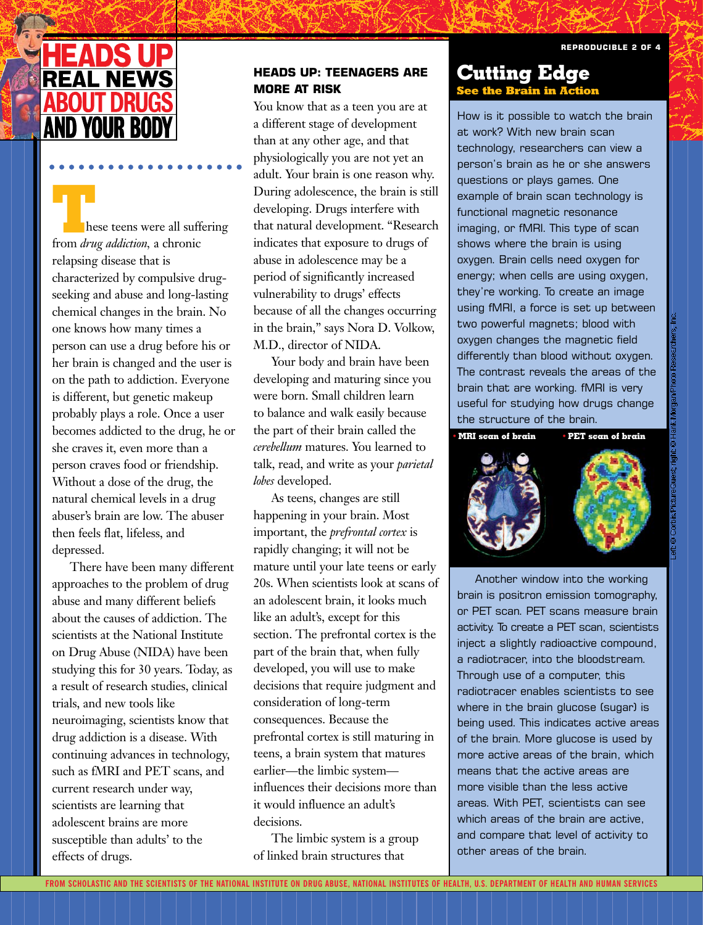# EADSL REAL NEWS **BOUT DRI AND YOUR BO**

hese teens were all suffering **From** *drug addiction*, a chronic relapsing disease that is characterized by compulsive drugseeking and abuse and long-lasting seeking and abuse and long-lasting<br>chemical changes in the brain. No one knows how many times a person can use a drug before his or her brain is changed and the user is ner brain is enanged and the user is<br>on the path to addiction. Everyone is different, but genetic makeup probably plays a role. Once a user becomes addicted to the drug, he or she craves it, even more than a person craves food or friendship. Without a dose of the drug, the natural chemical levels in a drug abuser's brain are low. The abuser then feels flat, lifeless, and depressed.

There have been many different approaches to the problem of drug abuse and many different beliefs about the causes of addiction. The scientists at the National Institute on Drug Abuse (NIDA) have been studying this for 30 years. Today, as a result of research studies, clinical trials, and new tools like neuroimaging, scientists know that drug addiction is a disease. With continuing advances in technology, such as fMRI and PET scans, and current research under way, scientists are learning that adolescent brains are more susceptible than adults' to the effects of drugs.

# **HEADS UP: TEENAGERS ARE MORE AT RISK**

You know that as a teen you are at a different stage of development than at any other age, and that physiologically you are not yet an adult. Your brain is one reason why. During adolescence, the brain is still developing. Drugs interfere with that natural development. "Research indicates that exposure to drugs of abuse in adolescence may be a period of significantly increased vulnerability to drugs' effects because of all the changes occurring in the brain," says Nora D. Volkow, M.D., director of NIDA.

Your body and brain have been developing and maturing since you were born. Small children learn to balance and walk easily because the part of their brain called the *cerebellum* matures. You learned to talk, read, and write as your *parietal lobes* developed.

As teens, changes are still happening in your brain. Most important, the *prefrontal cortex* is rapidly changing; it will not be mature until your late teens or early 20s. When scientists look at scans of an adolescent brain, it looks much like an adult's, except for this section. The prefrontal cortex is the part of the brain that, when fully developed, you will use to make decisions that require judgment and consideration of long-term consequences. Because the prefrontal cortex is still maturing in teens, a brain system that matures earlier—the limbic system influences their decisions more than it would influence an adult's decisions.

The limbic system is a group of linked brain structures that

# **Cutting Edge See the Brain in Ac**

How is it possible to watch the brain at work? With new brain scan technology, researchers can view a person's brain as he or she answers questions or plays games. One example of brain scan technology is functional magnetic resonance imaging, or fMRI. This type of scan shows where the brain is using oxygen. Brain cells need oxygen for energy; when cells are using oxygen, they're working. To create an image using fMRI, a force is set up between two powerful magnets; blood with oxygen changes the magnetic field differently than blood without oxygen. The contrast reveals the areas of the brain that are working. fMRI is very useful for studying how drugs change the structure of the brain. **•MRI scan of brain •PET scan of brain**



Another window into the working brain is positron emission tomography, or PET scan. PET scans measure brain activity. To create a PET scan, scientists inject a slightly radioactive compound, a radiotracer, into the bloodstream. Through use of a computer, this radiotracer enables scientists to see where in the brain glucose (sugar) is being used. This indicates active areas of the brain. More glucose is used by more active areas of the brain, which means that the active areas are more visible than the less active areas. With PET, scientists can see which areas of the brain are active, and compare that level of activity to other areas of the brain.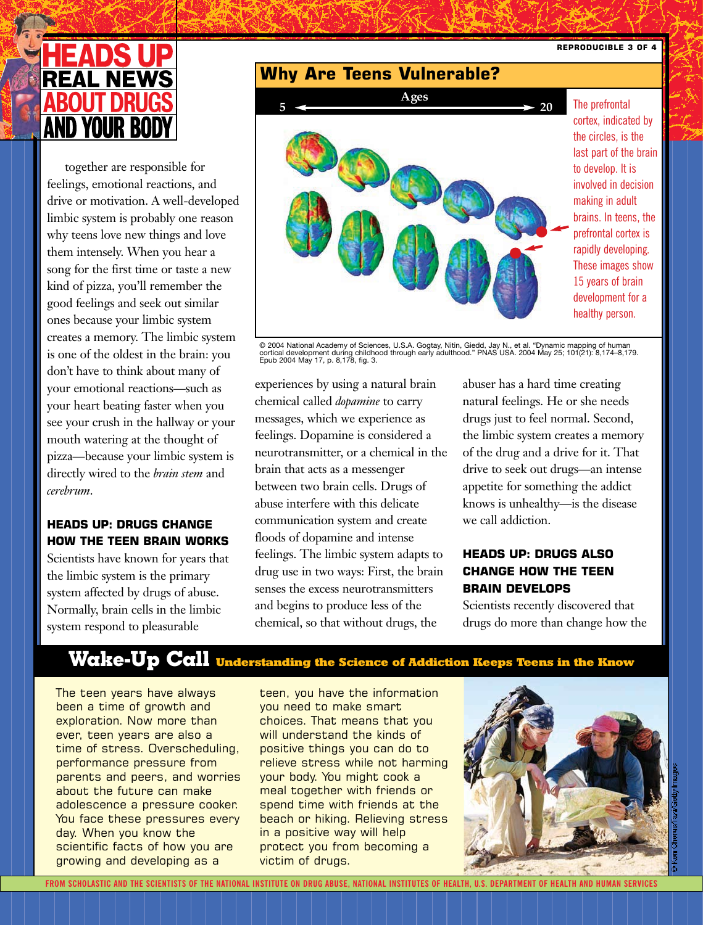

don't have to think about many of ones because your minde system<br>creates a memory. The limbic system good feelings and seek out similar<br>ones because your limbic system is one of the oldest in the brain: you together are responsible for feelings, emotional reactions, and drive or motivation. A well-developed limbic system is probably one reason why teens love new things and love them intensely. When you hear a song for the first time or taste a new kind of pizza, you'll remember the ones because your limbic system your emotional reactions—such as your heart beating faster when you see your crush in the hallway or your mouth watering at the thought of pizza—because your limbic system is directly wired to the *brain stem* and *cerebrum*.

# **HEADS UP: DRUGS CHANGE HOW THE TEEN BRAIN WORKS**

Scientists have known for years that the limbic system is the primary system affected by drugs of abuse. Normally, brain cells in the limbic system respond to pleasurable



© 2004 National Academy of Sciences, U.S.A. Gogtay, Nitin, Giedd, Jay N., et al. "Dynamic mapping of human<br>cortical development during childhood through early adulthood." PNAS USA. 2004 May 25; 101(21): 8,174–8,179.<br>Epub 2

experiences by using a natural brain chemical called *dopamine* to carry messages, which we experience as feelings. Dopamine is considered a neurotransmitter, or a chemical in the brain that acts as a messenger between two brain cells. Drugs of abuse interfere with this delicate communication system and create floods of dopamine and intense feelings. The limbic system adapts to drug use in two ways: First, the brain senses the excess neurotransmitters and begins to produce less of the chemical, so that without drugs, the

abuser has a hard time creating natural feelings. He or she needs drugs just to feel normal. Second, the limbic system creates a memory of the drug and a drive for it. That drive to seek out drugs—an intense appetite for something the addict knows is unhealthy—is the disease we call addiction.

# **HEADS UP: DRUGS ALSO CHANGE HOW THE TEEN BRAIN DEVELOPS**

Scientists recently discovered that drugs do more than change how the

# **Wake-Up Call Understanding the Science of Addiction Keeps Teens in the Know**

The teen years have always been a time of growth and exploration. Now more than ever, teen years are also a time of stress. Overscheduling, performance pressure from parents and peers, and worries about the future can make adolescence a pressure cooker. You face these pressures every day. When you know the scientific facts of how you are growing and developing as a

teen, you have the information you need to make smart choices. That means that you will understand the kinds of positive things you can do to relieve stress while not harming your body. You might cook a meal together with friends or spend time with friends at the beach or hiking. Relieving stress in a positive way will help protect you from becoming a victim of drugs.

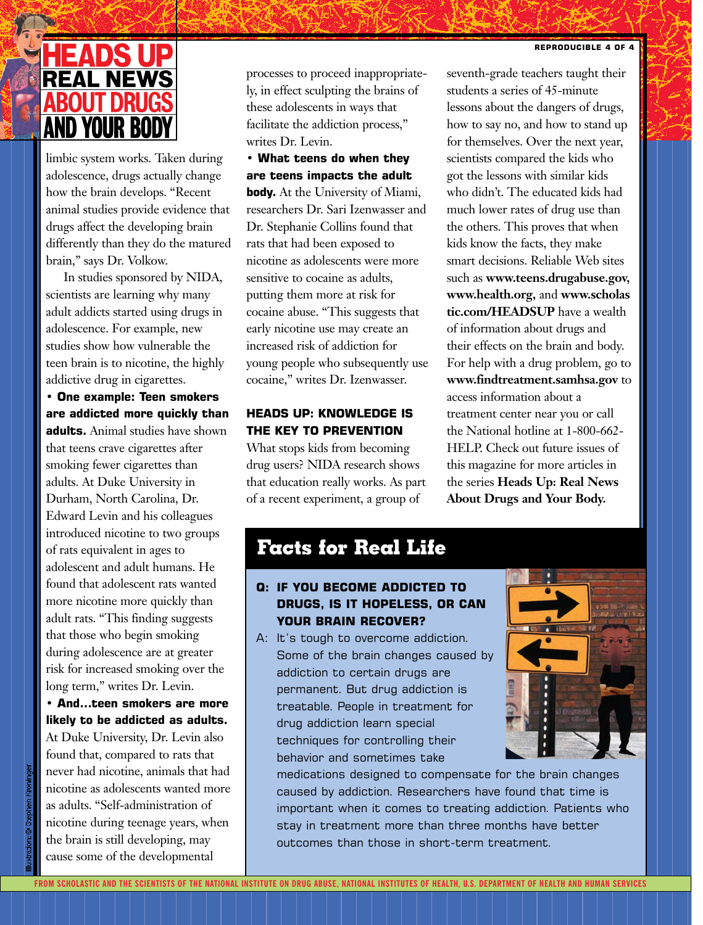

limbic system works. Taken during adolescence, drugs actually change how the brain develops. "Recent animal studies provide evidence that drugs affect the developing brain differently than they do the matured brain," says Dr. Volkow.

In studies sponsored by NIDA, scientists are learning why many scientists are learning why many<br>adult addicts started using drugs in adolescence. For example, new studies show how vulnerable the teen brain is to nicotine, the highly addictive drug in cigarettes.

**• One example: Teen smokers are addicted more quickly than adults.** Animal studies have shown that teens crave cigarettes after smoking fewer cigarettes than adults. At Duke University in Durham, North Carolina, Dr. Edward Levin and his colleagues introduced nicotine to two groups of rats equivalent in ages to adolescent and adult humans. He found that adolescent rats wanted more nicotine more quickly than adult rats. "This finding suggests that those who begin smoking during adolescence are at greater risk for increased smoking over the long term," writes Dr. Levin.

**• And…teen smokers are more likely to be addicted as adults.**

At Duke University, Dr. Levin also found that, compared to rats that never had nicotine, animals that had nicotine as adolescents wanted more as adults. "Self-administration of nicotine during teenage years, when the brain is still developing, may cause some of the developmental

processes to proceed inappropriately, in effect sculpting the brains of these adolescents in ways that facilitate the addiction process," writes Dr. Levin.

**• What teens do when they are teens impacts the adult**

**body.** At the University of Miami, researchers Dr. Sari Izenwasser and Dr. Stephanie Collins found that rats that had been exposed to nicotine as adolescents were more sensitive to cocaine as adults, putting them more at risk for cocaine abuse. "This suggests that early nicotine use may create an increased risk of addiction for young people who subsequently use cocaine," writes Dr. Izenwasser.

#### **HEADS UP: KNOWLEDGE IS THE KEY TO PREVENTION**

What stops kids from becoming drug users? NIDA research shows that education really works. As part of a recent experiment, a group of

seventh-grade teachers taught their students a series of 45-minute lessons about the dangers of drugs, how to say no, and how to stand up for themselves. Over the next year, scientists compared the kids who got the lessons with similar kids who didn't. The educated kids had much lower rates of drug use than the others. This proves that when kids know the facts, they make smart decisions. Reliable Web sites such as **www.teens.drugabuse.gov, www.health.org,** and **www.scholas tic.com/HEADSUP** have a wealth of information about drugs and their effects on the brain and body. For help with a drug problem, go to **www.findtreatment.samhsa.gov** to access information about a treatment center near you or call the National hotline at 1-800-662- HELP. Check out future issues of this magazine for more articles in the series **Heads Up: Real News About Drugs and Your Body.**

# **Facts for Real Life**

# **Q: IF YOU BECOME ADDICTED TO DRUGS, IS IT HOPELESS, OR CAN YOUR BRAIN RECOVER?**

A: It's tough to overcome addiction. Some of the brain changes caused by addiction to certain drugs are permanent. But drug addiction is treatable. People in treatment for drug addiction learn special techniques for controlling their behavior and sometimes take



medications designed to compensate for the brain changes caused by addiction. Researchers have found that time is important when it comes to treating addiction. Patients who stay in treatment more than three months have better outcomes than those in short-term treatment.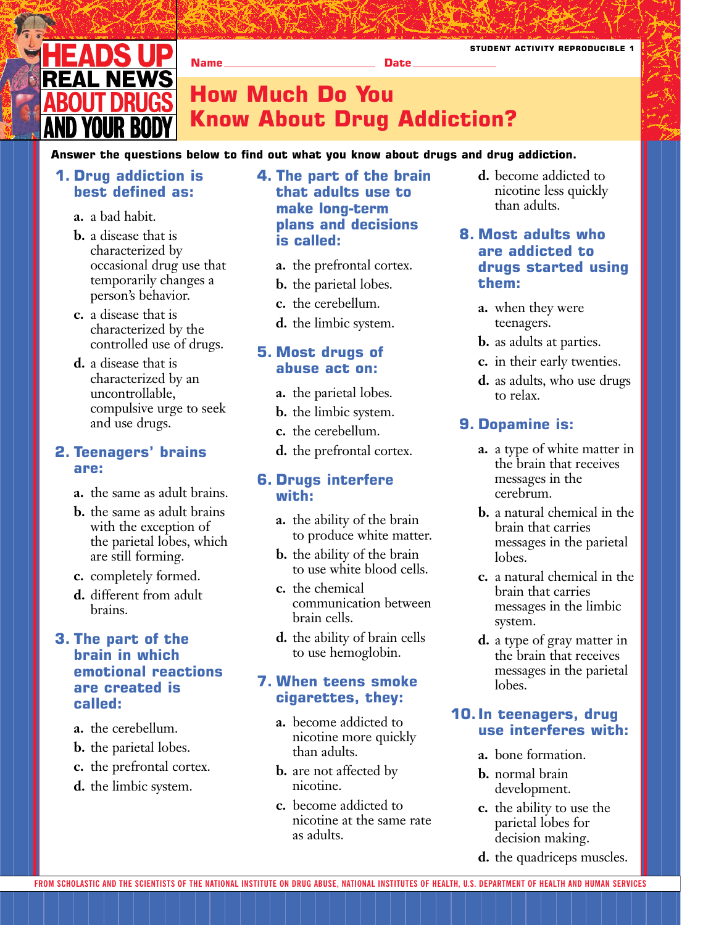

**How Much Do You Know About Drug Addiction?**

#### **Answer the questions below to find out what you know about drugs and drug addiction.**

**Name Date Date** 

## **1. Drug addiction is best defined as:**

- **a.** a bad habit.
- **b.** a disease that is characterized by occasional drug use that temporarily changes a person's behavior.
- person's behaviour.<br> **c.** a disease that is characterized by the controlled use of drugs.
- **d.** a disease that is **c** a disease that is<br>characterized by an uncontrollable, compulsive urge to seek and use drugs.

# **2. Teenagers' brains are:**

- **a.** the same as adult brains.
- **b.** the same as adult brains with the exception of the parietal lobes, which are still forming.
- **c.** completely formed.
- **d.** different from adult brains.

# **3. The part of the brain in which emotional reactions are created is called:**

- **a.** the cerebellum.
- **b.** the parietal lobes.
- **c.** the prefrontal cortex.
- **d.** the limbic system.

# **4. The part of the brain that adults use to make long-term plans and decisions is called:**

- **a.** the prefrontal cortex.
- **b.** the parietal lobes.
- **c.** the cerebellum.
- **d.** the limbic system.

## **5. Most drugs of abuse act on:**

- **a.** the parietal lobes.
- **b.** the limbic system.
- **c.** the cerebellum.
- **d.** the prefrontal cortex.

#### **6. Drugs interfere with:**

- **a.** the ability of the brain to produce white matter.
- **b.** the ability of the brain to use white blood cells.
- **c.** the chemical communication between brain cells.
- **d.** the ability of brain cells to use hemoglobin.

# **7. When teens smoke cigarettes, they:**

- **a.** become addicted to nicotine more quickly than adults.
- **b.** are not affected by nicotine.
- **c.** become addicted to nicotine at the same rate as adults.

**d.** become addicted to nicotine less quickly than adults.

# **8. Most adults who are addicted to drugs started using them:**

- **a.** when they were teenagers.
- **b.** as adults at parties.
- **c.** in their early twenties.
- **d.** as adults, who use drugs to relax.

## **9. Dopamine is:**

- **a.** a type of white matter in the brain that receives messages in the cerebrum.
- **b.** a natural chemical in the brain that carries messages in the parietal lobes.
- **c.** a natural chemical in the brain that carries messages in the limbic system.
- **d.** a type of gray matter in the brain that receives messages in the parietal lobes.

# **10. In teenagers, drug use interferes with:**

- **a.** bone formation.
- **b.** normal brain development.
- **c.** the ability to use the parietal lobes for decision making.
- **d.** the quadriceps muscles.

**STUDENT ACTIVITY REPRODUCIBLE 1**